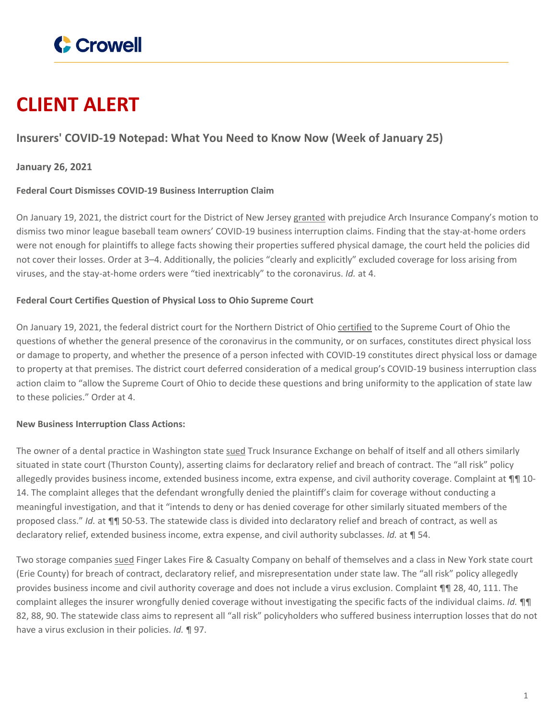

# **CLIENT ALERT**

## **Insurers' COVID-19 Notepad: What You Need to Know Now (Week of January 25)**

### **January 26, 2021**

#### **Federal Court Dismisses COVID-19 Business Interruption Claim**

On January 19, 2021, the district court for the District of New Jersey [granted](https://www.crowell.com/files/7th-Inning-Stretch-Order.PDF) with prejudice Arch Insurance Company's motion to dismiss two minor league baseball team owners' COVID-19 business interruption claims. Finding that the stay-at-home orders were not enough for plaintiffs to allege facts showing their properties suffered physical damage, the court held the policies did not cover their losses. Order at 3–4. Additionally, the policies "clearly and explicitly" excluded coverage for loss arising from viruses, and the stay-at-home orders were "tied inextricably" to the coronavirus. *Id.* at 4.

#### **Federal Court Certifies Question of Physical Loss to Ohio Supreme Court**

On January 19, 2021, the federal district court for the Northern District of Ohio [certified](https://www.crowell.com/files/Neuro-Communication-Order.PDF) to the Supreme Court of Ohio the questions of whether the general presence of the coronavirus in the community, or on surfaces, constitutes direct physical loss or damage to property, and whether the presence of a person infected with COVID-19 constitutes direct physical loss or damage to property at that premises. The district court deferred consideration of a medical group's COVID-19 business interruption class action claim to "allow the Supreme Court of Ohio to decide these questions and bring uniformity to the application of state law to these policies." Order at 4.

#### **New Business Interruption Class Actions:**

The owner of a dental practice in Washington state [sued](https://www.crowell.com/files/R2B2-Complaint.PDF) Truck Insurance Exchange on behalf of itself and all others similarly situated in state court (Thurston County), asserting claims for declaratory relief and breach of contract. The "all risk" policy allegedly provides business income, extended business income, extra expense, and civil authority coverage. Complaint at ¶¶ 10-14. The complaint alleges that the defendant wrongfully denied the plaintiff's claim for coverage without conducting a meaningful investigation, and that it "intends to deny or has denied coverage for other similarly situated members of the proposed class." *Id.* at ¶¶ 50-53. The statewide class is divided into declaratory relief and breach of contract, as well as declaratory relief, extended business income, extra expense, and civil authority subclasses. *Id.* at ¶ 54.

Two storage companies [sued](https://www.crowell.com/files/Thill-13014-Complaint.PDF) Finger Lakes Fire & Casualty Company on behalf of themselves and a class in New York state court (Erie County) for breach of contract, declaratory relief, and misrepresentation under state law. The "all risk" policy allegedly provides business income and civil authority coverage and does not include a virus exclusion. Complaint ¶¶ 28, 40, 111. The complaint alleges the insurer wrongfully denied coverage without investigating the specific facts of the individual claims. *Id.* ¶¶ 82, 88, 90. The statewide class aims to represent all "all risk" policyholders who suffered business interruption losses that do not have a virus exclusion in their policies. *Id.* ¶ 97.